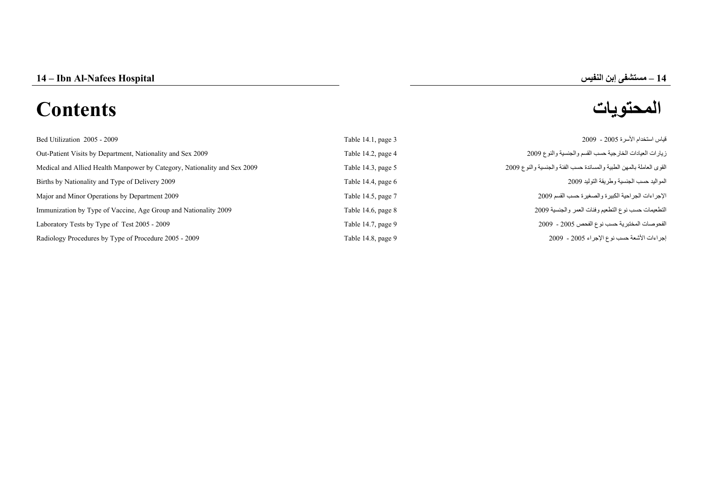# **المحتويات Contents**

# **–**

| Bed Utilization 2005 - 2009                                              | Table 14.1, page 3   | قياس استخدام الأسرة 2005 - 2009                                      |
|--------------------------------------------------------------------------|----------------------|----------------------------------------------------------------------|
| Out-Patient Visits by Department, Nationality and Sex 2009               | Table 14.2, page 4   | زيارات العيادات الخارجية حسب القسم والجنسية والنوع 2009              |
| Medical and Allied Health Manpower by Category, Nationality and Sex 2009 | Table 14.3, page 5   | القوى العاملة بالمهن الطبية والمساندة حسب الفئة والجنسية والنوع 2009 |
| Births by Nationality and Type of Delivery 2009                          | Table 14.4, page $6$ | المواليد حسب الجنسية وطريقة التوليد 2009                             |
| Major and Minor Operations by Department 2009                            | Table 14.5, page 7   | الإجراءات الجراحية الكبيرة والصغيرة حسب القسم 2009                   |
| Immunization by Type of Vaccine, Age Group and Nationality 2009          | Table 14.6, page $8$ | التطعيمات حسب نوع التطعيم وفئات العمر والجنسية 2009                  |
| Laboratory Tests by Type of Test 2005 - 2009                             | Table 14.7, page 9   | الفحوصات المختبرية حسب نوع الفحص 2005 - 2009                         |
| Radiology Procedures by Type of Procedure 2005 - 2009                    | Table 14.8, page 9   | إجراءات الأشعة حسب نوع الإجراء 2005 - 2009                           |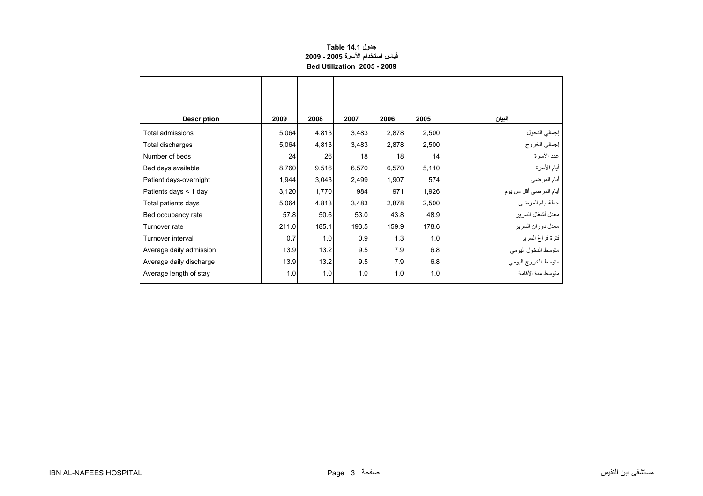#### **جدول 14.1 Table قياس استخدام الأسرة 2005 - 2009 Bed Utilization 2005 - 2009**

<span id="page-1-0"></span>

| <b>Description</b>      | 2009  | 2008  | 2007  | 2006  | 2005  | البيان                  |
|-------------------------|-------|-------|-------|-------|-------|-------------------------|
| Total admissions        | 5,064 | 4,813 | 3,483 | 2,878 | 2,500 | إجمالي الدخول           |
| Total discharges        | 5,064 | 4,813 | 3,483 | 2,878 | 2,500 | إجمالي الخروج           |
| Number of beds          | 24    | 26    | 18    | 18    | 14    | عدد الأسرة              |
| Bed days available      | 8,760 | 9,516 | 6,570 | 6,570 | 5,110 | أيام الأسرة             |
| Patient days-overnight  | 1,944 | 3,043 | 2,499 | 1,907 | 574   | أيام المرضىي            |
| Patients days $<$ 1 day | 3,120 | 1,770 | 984   | 971   | 1,926 | أيام المرضىي أقل من يوم |
| Total patients days     | 5,064 | 4,813 | 3,483 | 2,878 | 2,500 | جملة أيام المرضى        |
| Bed occupancy rate      | 57.8  | 50.6  | 53.0  | 43.8  | 48.9  | معدل أشغال السرير       |
| Turnover rate           | 211.0 | 185.1 | 193.5 | 159.9 | 178.6 | معدل دوران السرير       |
| Turnover interval       | 0.7   | 1.0   | 0.9   | 1.3   | 1.0   | فترة فراغ السرير        |
| Average daily admission | 13.9  | 13.2  | 9.5   | 7.9   | 6.8   | متوسط الدخول البومي     |
| Average daily discharge | 13.9  | 13.2  | 9.5   | 7.9   | 6.8   | متوسط الخروج اليومي     |
| Average length of stay  | 1.0   | 1.0   | 1.0   | 1.0   | 1.0   | متوسط مدة الأقامة       |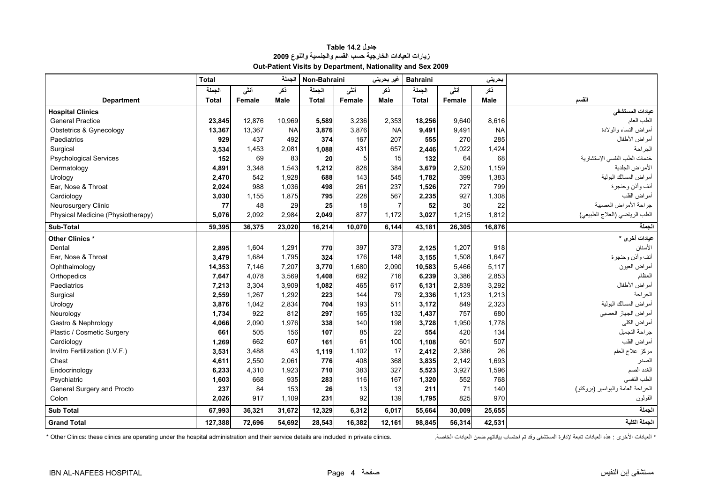<span id="page-2-0"></span>

|                                   | <b>Total</b> |        | الجملة      | Non-Bahraini |        | غیر بحرینی  | <b>Bahraini</b><br>بحريني |        |           |                                   |
|-----------------------------------|--------------|--------|-------------|--------------|--------|-------------|---------------------------|--------|-----------|-----------------------------------|
|                                   | الحملة       | أنشى   | ذكر         | الجملة       | أنشى   | نكر         | الجملة                    | أنشى   | نكر       |                                   |
| <b>Department</b>                 | <b>Total</b> | Female | <b>Male</b> | <b>Total</b> | Female | <b>Male</b> | <b>Total</b>              | Female | Male      | القسم                             |
| <b>Hospital Clinics</b>           |              |        |             |              |        |             |                           |        |           | عيادات المستشفى                   |
| <b>General Practice</b>           | 23,845       | 12,876 | 10,969      | 5,589        | 3,236  | 2,353       | 18,256                    | 9,640  | 8,616     | الطب العام                        |
| Obstetrics & Gynecology           | 13,367       | 13,367 | <b>NA</b>   | 3,876        | 3,876  | <b>NA</b>   | 9,491                     | 9,491  | <b>NA</b> | أمراض النساء والولادة             |
| Paediatrics                       | 929          | 437    | 492         | 374          | 167    | 207         | 555                       | 270    | 285       | أمراض الأطفال                     |
| Surgical                          | 3,534        | 1.453  | 2.081       | 1,088        | 431    | 657         | 2,446                     | 1,022  | 1,424     | الجر احة                          |
| <b>Psychological Services</b>     | 152          | 69     | 83          | 20           | 5      | 15          | 132                       | 64     | 68        | خدمات الطب النفسي الإستشارية      |
| Dermatology                       | 4,891        | 3,348  | 1,543       | 1,212        | 828    | 384         | 3,679                     | 2,520  | 1,159     | الأمراض الجلدية                   |
| Urology                           | 2,470        | 542    | 1,928       | 688          | 143    | 545         | 1,782                     | 399    | 1,383     | أمراض المسالك البولية             |
| Ear. Nose & Throat                | 2,024        | 988    | 1.036       | 498          | 261    | 237         | 1,526                     | 727    | 799       | أنف وأذن وحنجرة                   |
| Cardiology                        | 3,030        | 1.155  | 1.875       | 795          | 228    | 567         | 2,235                     | 927    | 1,308     | أمراض القلب                       |
| <b>Neurosurgery Clinic</b>        | 77           | 48     | 29          | 25           | 18     | 7           | 52                        | 30     | 22        | جراحة الأمراض العصبية             |
| Physical Medicine (Physiotherapy) | 5,076        | 2,092  | 2,984       | 2,049        | 877    | 1,172       | 3,027                     | 1,215  | 1,812     | الطب الرياضي (العلاج الطبيعي)     |
| Sub-Total                         | 59,395       | 36,375 | 23,020      | 16,214       | 10,070 | 6,144       | 43,181                    | 26,305 | 16,876    | الجملة                            |
| Other Clinics *                   |              |        |             |              |        |             |                           |        |           | عيادات أخرى *                     |
| Dental                            | 2,895        | 1,604  | 1,291       | 770          | 397    | 373         | 2,125                     | 1,207  | 918       | الأسنان                           |
| Ear, Nose & Throat                | 3,479        | 1,684  | 1,795       | 324          | 176    | 148         | 3,155                     | 1,508  | 1,647     | أنف وأذن وحنجرة                   |
| Ophthalmology                     | 14,353       | 7.146  | 7,207       | 3,770        | 1,680  | 2,090       | 10,583                    | 5,466  | 5,117     | أمراض العيون                      |
| Orthopedics                       | 7,647        | 4.078  | 3,569       | 1,408        | 692    | 716         | 6,239                     | 3,386  | 2,853     | العظام                            |
| Paediatrics                       | 7,213        | 3,304  | 3,909       | 1,082        | 465    | 617         | 6,131                     | 2,839  | 3,292     | أمراض الأطفال                     |
| Surgical                          | 2,559        | 1,267  | 1,292       | 223          | 144    | 79          | 2,336                     | 1,123  | 1,213     | الجر احة                          |
| Urology                           | 3,876        | 1,042  | 2,834       | 704          | 193    | 511         | 3,172                     | 849    | 2,323     | أمراض المسالك البولية             |
| Neurology                         | 1,734        | 922    | 812         | 297          | 165    | 132         | 1,437                     | 757    | 680       | أمراض الجهاز العصبي               |
| Gastro & Nephrology               | 4,066        | 2,090  | 1,976       | 338          | 140    | 198         | 3,728                     | 1,950  | 1,778     | أمر اض الكلى                      |
| Plastic / Cosmetic Surgery        | 661          | 505    | 156         | 107          | 85     | 22          | 554                       | 420    | 134       | جراحة التجميل                     |
| Cardiology                        | 1,269        | 662    | 607         | 161          | 61     | <b>100</b>  | 1,108                     | 601    | 507       | أمراض القلب                       |
| Invitro Fertilization (I.V.F.)    | 3,531        | 3,488  | 43          | 1,119        | 1,102  | 17          | 2,412                     | 2,386  | 26        | مركز علاج العقم                   |
| Chest                             | 4,611        | 2,550  | 2.061       | 776          | 408    | 368         | 3,835                     | 2.142  | 1,693     | الصدر                             |
| Endocrinology                     | 6,233        | 4,310  | 1,923       | 710          | 383    | 327         | 5,523                     | 3,927  | 1,596     | الغدد الصم                        |
| Psychiatric                       | 1,603        | 668    | 935         | 283          | 116    | 167         | 1,320                     | 552    | 768       | الطب النفسي                       |
| General Surgery and Procto        | 237          | 84     | 153         | 26           | 13     | 13          | 211                       | 71     | 140       | الجراحة العامة والبواسير (بروكتو) |
| Colon                             | 2,026        | 917    | 1,109       | 231          | 92     | 139         | 1.795                     | 825    | 970       | القولون                           |
| <b>Sub Total</b>                  | 67,993       | 36,321 | 31,672      | 12,329       | 6,312  | 6,017       | 55,664                    | 30,009 | 25,655    | لجملة                             |
| <b>Grand Total</b>                | 127,388      | 72.696 | 54,692      | 28,543       | 16.382 | 12.161      | 98.845                    | 56,314 | 42,531    | الجملة الكلية                     |

# **جدول 14.2 Table زيارات العيادات الخارجية حسب القسم والجنسية والنوع <sup>2009</sup> Out-Patient Visits by Department, Nationality and Sex 2009**

\* Other Clinics: these clinics are operating under the hospital administration and their service details are included in private clinics. ^ `` مجالت الخاصمة مست العيادات الخاصة مست العيادات الخاصمة مست العيادات المستشفى و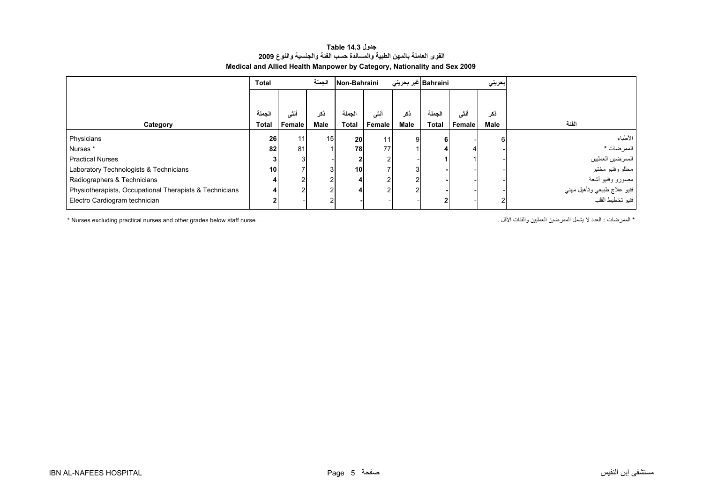#### **جدول 14.3 Table القوى العاملة بالمهن الطبية والمساندة حسب الفئة والجنسية والنوع <sup>2009</sup> Medical and Allied Health Manpower by Category, Nationality and Sex 2009**

<span id="page-3-0"></span>

|                                                         | <b>Total</b>    |        | الجملة          | Non-Bahraini |        | Bahraini  غیر بحرینی |              |        | بحريني |                             |
|---------------------------------------------------------|-----------------|--------|-----------------|--------------|--------|----------------------|--------------|--------|--------|-----------------------------|
|                                                         |                 |        |                 |              |        |                      |              |        |        |                             |
|                                                         | الجملة          | أنشى   | ڏکر             | نحملة        | أننى   | نکر                  | الجملة       | أننسى  | ذكر    |                             |
| Category                                                | <b>Total</b>    | Female | Male            | Total        | Female | <b>Male</b>          | <b>Total</b> | Female | Male   | الفئة                       |
| Physicians                                              | 26              | 11     | 15 <sup>1</sup> | 20           | 11     | 9                    |              |        |        | الأطباء                     |
| Nurses <sup>*</sup>                                     | 82              | 81     |                 | 78           | 77     |                      |              |        |        | الممر ضات *                 |
| <b>Practical Nurses</b>                                 |                 |        |                 |              |        |                      |              |        |        | الممرضين العمليين           |
| Laboratory Technologists & Technicians                  | 10 <sup>1</sup> |        |                 | 10           |        |                      |              |        |        | محللو وفنيو مختبر           |
| Radiographers & Technicians                             |                 |        |                 |              |        |                      |              |        |        | مصىورو وفنيو أشعة           |
| Physiotherapists, Occupational Therapists & Technicians |                 |        |                 |              |        |                      |              |        |        | فنيو علاج طبيعي ونأهيل مهني |
| Electro Cardiogram technician                           |                 |        |                 |              |        |                      |              |        |        | فنيو تخطيط القلب            |

\* الممرضات : العدد لا يشمل المعرضين العمليين والفئات الأقل . . . " Nurses excluding practical nurses and other grades below staff nurse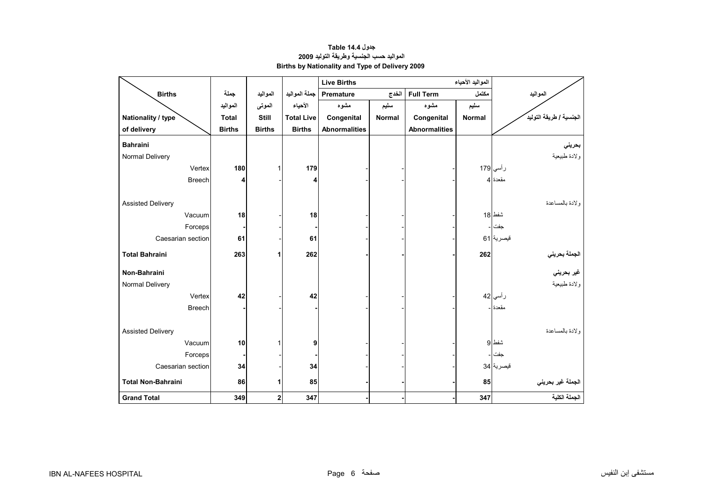# **جدول 14.4 Table المواليد حسب الجنسية وطريقة التوليد<sup>2009</sup> Births by Nationality and Type of Delivery 2009**

<span id="page-4-0"></span>

|                           |               |               |                   | <b>Live Births</b>   |        |                      |               |                                             |
|---------------------------|---------------|---------------|-------------------|----------------------|--------|----------------------|---------------|---------------------------------------------|
| <b>Births</b>             | جملة          | المواليد      | جملة المواليد     | Premature<br>الخدج   |        | <b>Full Term</b>     | مكتمل         | المواليد                                    |
|                           | المواليد      | الموتى        | الأحياء           | مشوه                 | سليم   | مشوه                 | سليم          |                                             |
| Nationality / type        | <b>Total</b>  | <b>Still</b>  | <b>Total Live</b> | Congenital           | Normal | Congenital           | <b>Normal</b> | الجنسية / طريقة التوليد                     |
| of delivery               | <b>Births</b> | <b>Births</b> | <b>Births</b>     | <b>Abnormalities</b> |        | <b>Abnormalities</b> |               |                                             |
| <b>Bahraini</b>           |               |               |                   |                      |        |                      |               | بحريني                                      |
| Normal Delivery           |               |               |                   |                      |        |                      |               | ولادة طبيعية                                |
| Vertex                    | 180           | 1             | 179               |                      |        |                      |               | رأسي 179                                    |
| <b>Breech</b>             | 4             |               | 4                 |                      |        |                      |               | مقعدة 4                                     |
|                           |               |               |                   |                      |        |                      |               |                                             |
| <b>Assisted Delivery</b>  |               |               |                   |                      |        |                      |               | ولادة بالمساعدة                             |
| Vacuum                    | 18            |               | 18                |                      |        |                      |               | شفط 18                                      |
| Forceps                   |               |               |                   |                      |        |                      |               | جفت                                         |
| Caesarian section         | 61            |               | 61                |                      |        |                      |               | قيصرية 61                                   |
| <b>Total Bahraini</b>     | 263           | 1             | 262               |                      |        |                      | 262           |                                             |
|                           |               |               |                   |                      |        |                      |               | الجملة بحرين <i>ي</i><br>غير بحرين <i>ي</i> |
| Non-Bahraini              |               |               |                   |                      |        |                      |               |                                             |
| Normal Delivery           |               |               |                   |                      |        |                      |               | ولادة طبيعية                                |
| Vertex                    | 42            |               | 42                |                      |        |                      |               | ر أسي 42                                    |
| <b>Breech</b>             |               |               |                   |                      |        |                      |               | مقعدة -                                     |
|                           |               |               |                   |                      |        |                      |               |                                             |
| <b>Assisted Delivery</b>  |               |               |                   |                      |        |                      |               | ولادة بالمساعدة                             |
| Vacuum                    | 10            |               | 9                 |                      |        |                      |               | شفط 9                                       |
| Forceps                   |               |               |                   |                      |        |                      |               | جفت                                         |
| Caesarian section         | 34            |               | 34                |                      |        |                      |               | قيصرية 34                                   |
| <b>Total Non-Bahraini</b> | 86            | 1             | 85                |                      |        |                      | 85            | الجملة غير بحريني                           |
| <b>Grand Total</b>        | 349           | $\mathbf 2$   | 347               |                      |        |                      | 347           | الجملة الكلية                               |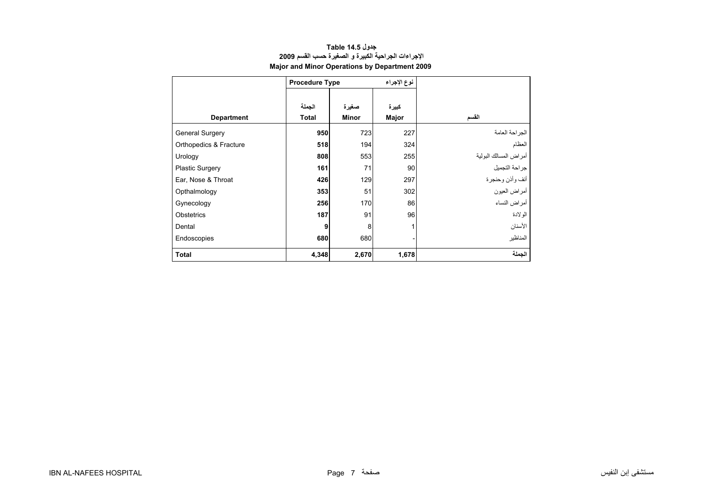<span id="page-5-0"></span>

|                        | <b>Procedure Type</b>  |                       | نوع الإجراء    |                       |
|------------------------|------------------------|-----------------------|----------------|-----------------------|
| <b>Department</b>      | الجملة<br><b>Total</b> | صغيرة<br><b>Minor</b> | كبيرة<br>Major | القسم                 |
| <b>General Surgery</b> | 950                    | 723                   | 227            | الجراحة العامة        |
| Orthopedics & Fracture | 518                    | 194                   | 324            | العظام                |
| Urology                | 808                    | 553                   | 255            | أمراض المسالك البولية |
| <b>Plastic Surgery</b> | 161                    | 71                    | 90             | جراحة التجميل         |
| Ear, Nose & Throat     | 426                    | 129                   | 297            | أنف وأذن وحنجرة       |
| Opthalmology           | 353                    | 51                    | 302            | أمراض العيون          |
| Gynecology             | 256                    | 170                   | 86             | أمراض النساء          |
| Obstetrics             | 187                    | 91                    | 96             | الولادة               |
| Dental                 | 9                      | 8                     | 1              | الأسنان               |
| Endoscopies            | 680                    | 680                   |                | المناظير              |
| <b>Total</b>           | 4,348                  | 2,670                 | 1,678          | الجملة                |

#### **جدول 14.5 Table الإجراءات الجراحية الكبيرة <sup>و</sup> الصغيرة حسب القسم <sup>2009</sup> Major and Minor Operations by Department 2009**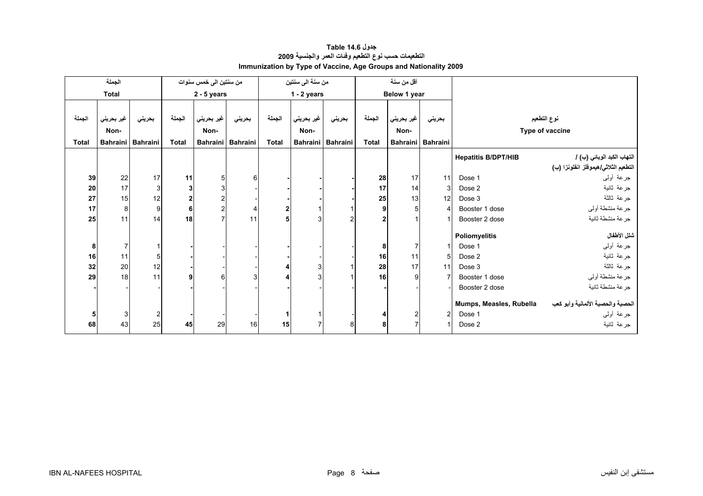<span id="page-6-0"></span>

|        | الجملة          |                 |              | من سنتين الى خمس سنوات |                   |                | من سنة الى سنتين |                   | أقل من سنة   |                 |                        |                            |                                      |
|--------|-----------------|-----------------|--------------|------------------------|-------------------|----------------|------------------|-------------------|--------------|-----------------|------------------------|----------------------------|--------------------------------------|
|        | <b>Total</b>    |                 |              | $2 - 5$ years          |                   |                | $1 - 2$ years    |                   |              | Below 1 year    |                        |                            |                                      |
|        |                 |                 |              |                        |                   |                |                  |                   |              |                 |                        |                            |                                      |
| الجملة | غير بحريني      | بحريني          | الجملة       | غير بحريني             | بحريني            | الجملة         | غير بحريني       | بحريني            | الجملة       | غير بحريني      | بحريني                 |                            | نوع التطعيم                          |
|        | Non-            |                 |              | Non-                   |                   |                | Non-             |                   |              | Non-            |                        |                            | Type of vaccine                      |
| Total  | <b>Bahraini</b> | <b>Bahraini</b> | <b>Total</b> |                        | Bahraini Bahraini | <b>Total</b>   |                  | Bahraini Bahraini | <b>Total</b> | <b>Bahraini</b> | <b>Bahraini</b>        |                            |                                      |
|        |                 |                 |              |                        |                   |                |                  |                   |              |                 |                        | <b>Hepatitis B/DPT/HIB</b> | التهاب الكبد الوبائي (ب) /           |
|        |                 |                 |              |                        |                   |                |                  |                   |              |                 |                        |                            | التطعيم الثلاثي/هيموفلز انفلونزا (ب) |
| 39     | 22              | 17              | 11           | 5                      | 6                 |                |                  |                   | 28           | 17              | 11                     | Dose 1                     | جرعة أولىي                           |
| 20     | 17              | 3               | 3            |                        |                   |                |                  |                   | 17           | 14              | $\mathbf{3}$           | Dose 2                     | جرعة ثانية                           |
| 27     | 15              | 12              | $\mathbf 2$  |                        |                   |                |                  |                   | 25           | 13              | 12                     | Dose 3                     | جرعة ثالثة                           |
| 17     | 8 <sup>1</sup>  | 9               | 6            |                        | 4                 | $\overline{2}$ |                  |                   |              | 5 <sub>5</sub>  | $\boldsymbol{\Lambda}$ | Booster 1 dose             | جرعة منشطة أوليي                     |
| 25     | 11              | 14              | 18           |                        | 11                |                |                  | $\overline{2}$    |              |                 |                        | Booster 2 dose             | جرعة منشطة ثانية                     |
|        |                 |                 |              |                        |                   |                |                  |                   |              |                 |                        | <b>Poliomyelitis</b>       | شلل الأطفال                          |
| 8      | $\overline{7}$  |                 |              |                        |                   |                |                  |                   | 8            | $\overline{7}$  |                        | Dose 1                     | جرعة أولىي                           |
| 16     | 11              | 5               |              |                        |                   |                |                  |                   | 16           | 11              | 5                      | Dose 2                     | جرعة ثانية                           |
| 32     | 20              | 12              |              |                        |                   |                | 3                |                   | 28           | 17              | 11                     | Dose 3                     | جرعة ثالثة                           |
| 29     | 18              | 11              | 9            |                        | 3                 |                |                  |                   | 16           | 9               |                        | Booster 1 dose             | جرعة منشطة أوليي                     |
|        |                 |                 |              |                        |                   |                |                  |                   |              |                 |                        | Booster 2 dose             | جرعة منشطة ثانية                     |
|        |                 |                 |              |                        |                   |                |                  |                   |              |                 |                        | Mumps, Measles, Rubella    | الحصبة والحصبة الألمانية وأبو كعب    |
| 5      | 3 <sup>1</sup>  | 2               |              |                        |                   |                |                  |                   |              | $\mathbf{2}$    | $\overline{2}$         | Dose 1                     | جرعة أولىي                           |
| 68     | 43              | 25              | 45           | 29                     | 16                | 15             |                  | 8                 |              | 7               |                        | Dose 2                     | جرعة ثانية                           |

# **جدول 14.6 Table التطعيمات حسب نوع التطعيم وفئات العمر والجنسية <sup>2009</sup> Immunization by Type of Vaccine, Age Groups and Nationality 2009**